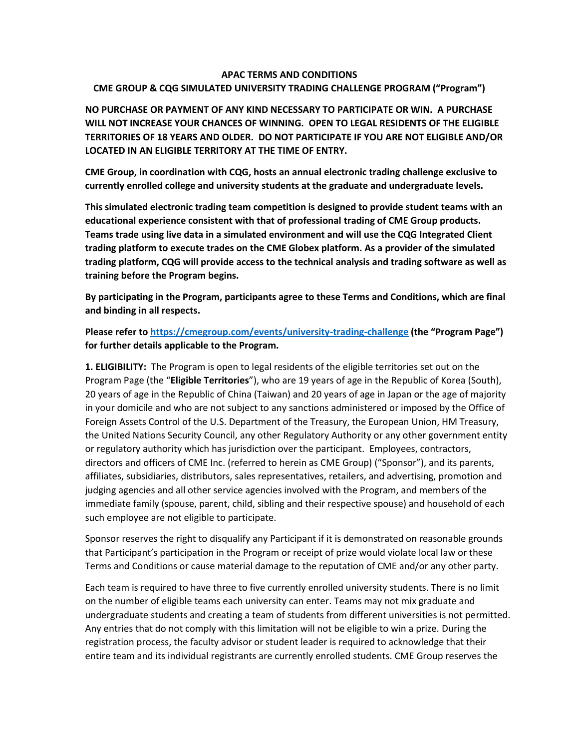#### **APAC TERMS AND CONDITIONS**

### **CME GROUP & CQG SIMULATED UNIVERSITY TRADING CHALLENGE PROGRAM ("Program")**

**NO PURCHASE OR PAYMENT OF ANY KIND NECESSARY TO PARTICIPATE OR WIN. A PURCHASE WILL NOT INCREASE YOUR CHANCES OF WINNING. OPEN TO LEGAL RESIDENTS OF THE ELIGIBLE TERRITORIES OF 18 YEARS AND OLDER. DO NOT PARTICIPATE IF YOU ARE NOT ELIGIBLE AND/OR LOCATED IN AN ELIGIBLE TERRITORY AT THE TIME OF ENTRY.**

**CME Group, in coordination with CQG, hosts an annual electronic trading challenge exclusive to currently enrolled college and university students at the graduate and undergraduate levels.** 

**This simulated electronic trading team competition is designed to provide student teams with an educational experience consistent with that of professional trading of CME Group products. Teams trade using live data in a simulated environment and will use the CQG Integrated Client trading platform to execute trades on the CME Globex platform. As a provider of the simulated trading platform, CQG will provide access to the technical analysis and trading software as well as training before the Program begins.**

**By participating in the Program, participants agree to these Terms and Conditions, which are final and binding in all respects.** 

**Please refer to <https://cmegroup.com/events/university-trading-challenge> (the "Program Page") for further details applicable to the Program.**

**1. ELIGIBILITY:** The Program is open to legal residents of the eligible territories set out on the Program Page (the "**Eligible Territories**"), who are 19 years of age in the Republic of Korea (South), 20 years of age in the Republic of China (Taiwan) and 20 years of age in Japan or the age of majority in your domicile and who are not subject to any sanctions administered or imposed by the Office of Foreign Assets Control of the U.S. Department of the Treasury, the European Union, HM Treasury, the United Nations Security Council, any other Regulatory Authority or any other government entity or regulatory authority which has jurisdiction over the participant. Employees, contractors, directors and officers of CME Inc. (referred to herein as CME Group) ("Sponsor"), and its parents, affiliates, subsidiaries, distributors, sales representatives, retailers, and advertising, promotion and judging agencies and all other service agencies involved with the Program, and members of the immediate family (spouse, parent, child, sibling and their respective spouse) and household of each such employee are not eligible to participate.

Sponsor reserves the right to disqualify any Participant if it is demonstrated on reasonable grounds that Participant's participation in the Program or receipt of prize would violate local law or these Terms and Conditions or cause material damage to the reputation of CME and/or any other party.

Each team is required to have three to five currently enrolled university students. There is no limit on the number of eligible teams each university can enter. Teams may not mix graduate and undergraduate students and creating a team of students from different universities is not permitted. Any entries that do not comply with this limitation will not be eligible to win a prize. During the registration process, the faculty advisor or student leader is required to acknowledge that their entire team and its individual registrants are currently enrolled students. CME Group reserves the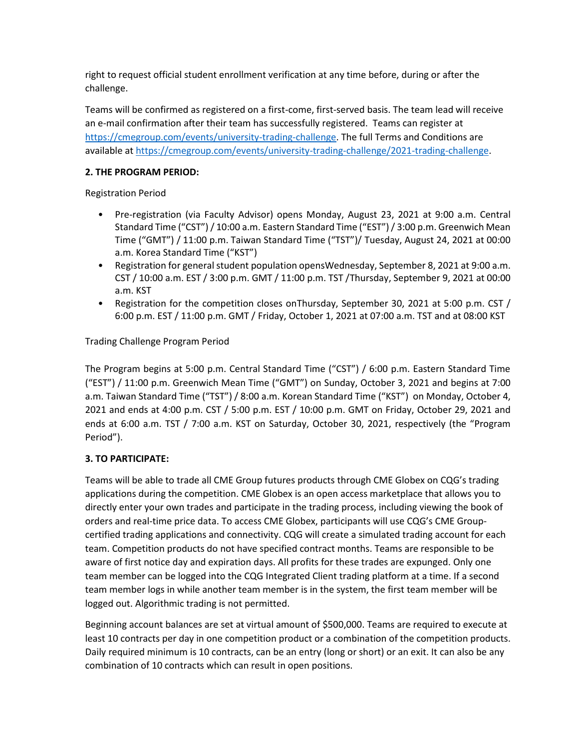right to request official student enrollment verification at any time before, during or after the challenge.

Teams will be confirmed as registered on a first-come, first-served basis. The team lead will receive an e-mail confirmation after their team has successfully registered. Teams can register at [https://cmegroup.com/events/university-trading-challenge.](https://cmegroup.com/events/university-trading-challenge) The full Terms and Conditions are available at [https://cmegroup.com/events/university-trading-challenge/2021-trading-challenge.](https://cmegroup.com/events/university-trading-challenge/2021-trading-challenge)

## **2. THE PROGRAM PERIOD:**

Registration Period

- Pre-registration (via Faculty Advisor) opens Monday, August 23, 2021 at 9:00 a.m. Central Standard Time ("CST") / 10:00 a.m. Eastern Standard Time ("EST") / 3:00 p.m. Greenwich Mean Time ("GMT") / 11:00 p.m. Taiwan Standard Time ("TST")/ Tuesday, August 24, 2021 at 00:00 a.m. Korea Standard Time ("KST")
- Registration for general student population opensWednesday, September 8, 2021 at 9:00 a.m. CST / 10:00 a.m. EST / 3:00 p.m. GMT / 11:00 p.m. TST /Thursday, September 9, 2021 at 00:00 a.m. KST
- Registration for the competition closes onThursday, September 30, 2021 at 5:00 p.m. CST / 6:00 p.m. EST / 11:00 p.m. GMT / Friday, October 1, 2021 at 07:00 a.m. TST and at 08:00 KST

Trading Challenge Program Period

The Program begins at 5:00 p.m. Central Standard Time ("CST") / 6:00 p.m. Eastern Standard Time ("EST") / 11:00 p.m. Greenwich Mean Time ("GMT") on Sunday, October 3, 2021 and begins at 7:00 a.m. Taiwan Standard Time ("TST") / 8:00 a.m. Korean Standard Time ("KST") on Monday, October 4, 2021 and ends at 4:00 p.m. CST / 5:00 p.m. EST / 10:00 p.m. GMT on Friday, October 29, 2021 and ends at 6:00 a.m. TST / 7:00 a.m. KST on Saturday, October 30, 2021, respectively (the "Program Period").

# **3. TO PARTICIPATE:**

Teams will be able to trade all CME Group futures products through CME Globex on CQG's trading applications during the competition. CME Globex is an open access marketplace that allows you to directly enter your own trades and participate in the trading process, including viewing the book of orders and real-time price data. To access CME Globex, participants will use CQG's CME Groupcertified trading applications and connectivity. CQG will create a simulated trading account for each team. Competition products do not have specified contract months. Teams are responsible to be aware of first notice day and expiration days. All profits for these trades are expunged. Only one team member can be logged into the CQG Integrated Client trading platform at a time. If a second team member logs in while another team member is in the system, the first team member will be logged out. Algorithmic trading is not permitted.

Beginning account balances are set at virtual amount of \$500,000. Teams are required to execute at least 10 contracts per day in one competition product or a combination of the competition products. Daily required minimum is 10 contracts, can be an entry (long or short) or an exit. It can also be any combination of 10 contracts which can result in open positions.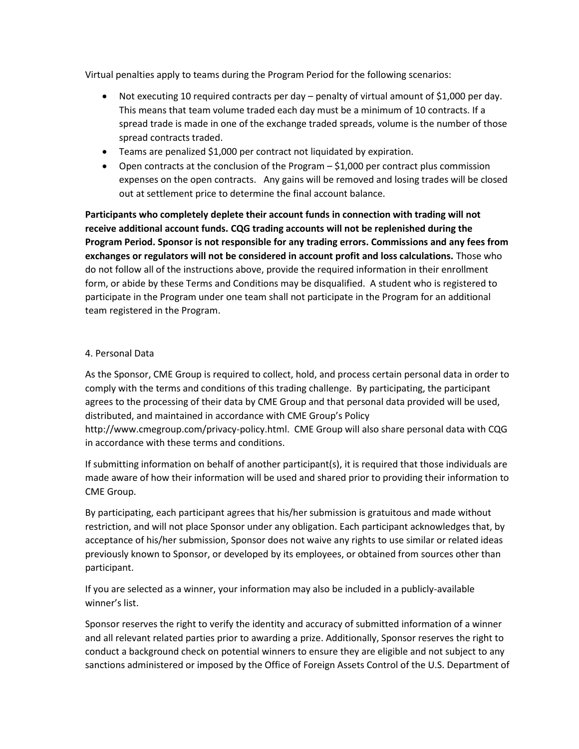Virtual penalties apply to teams during the Program Period for the following scenarios:

- Not executing 10 required contracts per day penalty of virtual amount of \$1,000 per day. This means that team volume traded each day must be a minimum of 10 contracts. If a spread trade is made in one of the exchange traded spreads, volume is the number of those spread contracts traded.
- Teams are penalized \$1,000 per contract not liquidated by expiration.
- Open contracts at the conclusion of the Program \$1,000 per contract plus commission expenses on the open contracts. Any gains will be removed and losing trades will be closed out at settlement price to determine the final account balance.

**Participants who completely deplete their account funds in connection with trading will not receive additional account funds. CQG trading accounts will not be replenished during the Program Period. Sponsor is not responsible for any trading errors. Commissions and any fees from exchanges or regulators will not be considered in account profit and loss calculations.** Those who do not follow all of the instructions above, provide the required information in their enrollment form, or abide by these Terms and Conditions may be disqualified. A student who is registered to participate in the Program under one team shall not participate in the Program for an additional team registered in the Program.

## 4. Personal Data

As the Sponsor, CME Group is required to collect, hold, and process certain personal data in order to comply with the terms and conditions of this trading challenge. By participating, the participant agrees to the processing of their data by CME Group and that personal data provided will be used, distributed, and maintained in accordance with CME Group's Policy http://www.cmegroup.com/privacy-policy.html. CME Group will also share personal data with CQG in accordance with these terms and conditions.

If submitting information on behalf of another participant(s), it is required that those individuals are made aware of how their information will be used and shared prior to providing their information to CME Group.

By participating, each participant agrees that his/her submission is gratuitous and made without restriction, and will not place Sponsor under any obligation. Each participant acknowledges that, by acceptance of his/her submission, Sponsor does not waive any rights to use similar or related ideas previously known to Sponsor, or developed by its employees, or obtained from sources other than participant.

If you are selected as a winner, your information may also be included in a publicly-available winner's list.

Sponsor reserves the right to verify the identity and accuracy of submitted information of a winner and all relevant related parties prior to awarding a prize. Additionally, Sponsor reserves the right to conduct a background check on potential winners to ensure they are eligible and not subject to any sanctions administered or imposed by the Office of Foreign Assets Control of the U.S. Department of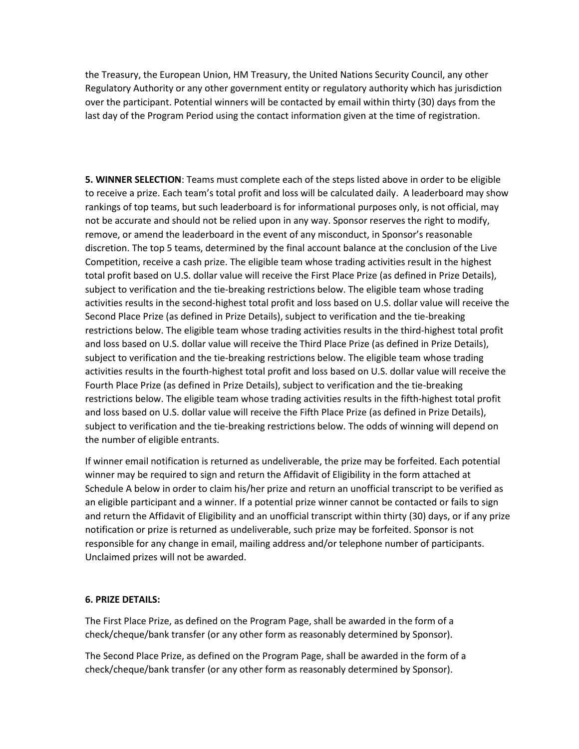the Treasury, the European Union, HM Treasury, the United Nations Security Council, any other Regulatory Authority or any other government entity or regulatory authority which has jurisdiction over the participant. Potential winners will be contacted by email within thirty (30) days from the last day of the Program Period using the contact information given at the time of registration.

**5. WINNER SELECTION**: Teams must complete each of the steps listed above in order to be eligible to receive a prize. Each team's total profit and loss will be calculated daily. A leaderboard may show rankings of top teams, but such leaderboard is for informational purposes only, is not official, may not be accurate and should not be relied upon in any way. Sponsor reserves the right to modify, remove, or amend the leaderboard in the event of any misconduct, in Sponsor's reasonable discretion. The top 5 teams, determined by the final account balance at the conclusion of the Live Competition, receive a cash prize. The eligible team whose trading activities result in the highest total profit based on U.S. dollar value will receive the First Place Prize (as defined in Prize Details), subject to verification and the tie-breaking restrictions below. The eligible team whose trading activities results in the second-highest total profit and loss based on U.S. dollar value will receive the Second Place Prize (as defined in Prize Details), subject to verification and the tie-breaking restrictions below. The eligible team whose trading activities results in the third-highest total profit and loss based on U.S. dollar value will receive the Third Place Prize (as defined in Prize Details), subject to verification and the tie-breaking restrictions below. The eligible team whose trading activities results in the fourth-highest total profit and loss based on U.S. dollar value will receive the Fourth Place Prize (as defined in Prize Details), subject to verification and the tie-breaking restrictions below. The eligible team whose trading activities results in the fifth-highest total profit and loss based on U.S. dollar value will receive the Fifth Place Prize (as defined in Prize Details), subject to verification and the tie-breaking restrictions below. The odds of winning will depend on the number of eligible entrants.

If winner email notification is returned as undeliverable, the prize may be forfeited. Each potential winner may be required to sign and return the Affidavit of Eligibility in the form attached at Schedule A below in order to claim his/her prize and return an unofficial transcript to be verified as an eligible participant and a winner. If a potential prize winner cannot be contacted or fails to sign and return the Affidavit of Eligibility and an unofficial transcript within thirty (30) days, or if any prize notification or prize is returned as undeliverable, such prize may be forfeited. Sponsor is not responsible for any change in email, mailing address and/or telephone number of participants. Unclaimed prizes will not be awarded.

### **6. PRIZE DETAILS:**

The First Place Prize, as defined on the Program Page, shall be awarded in the form of a check/cheque/bank transfer (or any other form as reasonably determined by Sponsor).

The Second Place Prize, as defined on the Program Page, shall be awarded in the form of a check/cheque/bank transfer (or any other form as reasonably determined by Sponsor).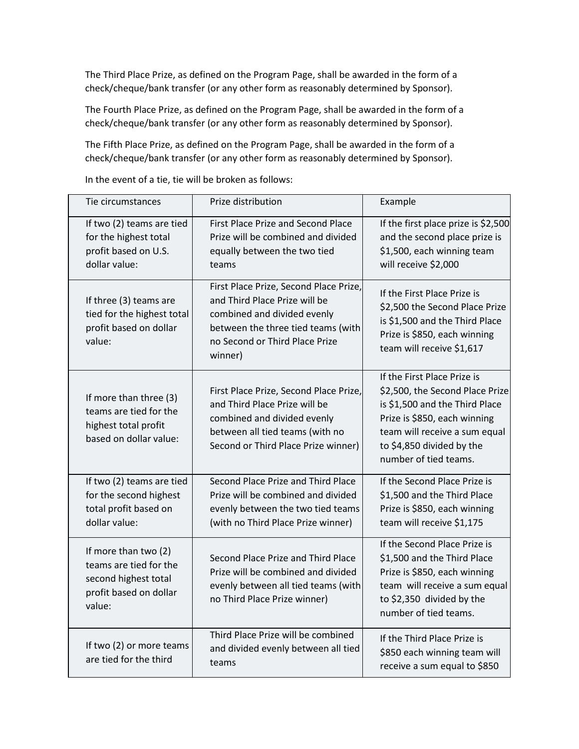The Third Place Prize, as defined on the Program Page, shall be awarded in the form of a check/cheque/bank transfer (or any other form as reasonably determined by Sponsor).

The Fourth Place Prize, as defined on the Program Page, shall be awarded in the form of a check/cheque/bank transfer (or any other form as reasonably determined by Sponsor).

The Fifth Place Prize, as defined on the Program Page, shall be awarded in the form of a check/cheque/bank transfer (or any other form as reasonably determined by Sponsor).

| Tie circumstances                                                                                          | Prize distribution                                                                                                                                                                        | Example                                                                                                                                                                                                                 |
|------------------------------------------------------------------------------------------------------------|-------------------------------------------------------------------------------------------------------------------------------------------------------------------------------------------|-------------------------------------------------------------------------------------------------------------------------------------------------------------------------------------------------------------------------|
| If two (2) teams are tied<br>for the highest total<br>profit based on U.S.<br>dollar value:                | <b>First Place Prize and Second Place</b><br>Prize will be combined and divided<br>equally between the two tied<br>teams                                                                  | If the first place prize is \$2,500<br>and the second place prize is<br>\$1,500, each winning team<br>will receive \$2,000                                                                                              |
| If three (3) teams are<br>tied for the highest total<br>profit based on dollar<br>value:                   | First Place Prize, Second Place Prize,<br>and Third Place Prize will be<br>combined and divided evenly<br>between the three tied teams (with<br>no Second or Third Place Prize<br>winner) | If the First Place Prize is<br>\$2,500 the Second Place Prize<br>is \$1,500 and the Third Place<br>Prize is \$850, each winning<br>team will receive \$1,617                                                            |
| If more than three (3)<br>teams are tied for the<br>highest total profit<br>based on dollar value:         | First Place Prize, Second Place Prize,<br>and Third Place Prize will be<br>combined and divided evenly<br>between all tied teams (with no<br>Second or Third Place Prize winner)          | If the First Place Prize is<br>\$2,500, the Second Place Prize<br>is \$1,500 and the Third Place<br>Prize is \$850, each winning<br>team will receive a sum equal<br>to \$4,850 divided by the<br>number of tied teams. |
| If two (2) teams are tied<br>for the second highest<br>total profit based on<br>dollar value:              | Second Place Prize and Third Place<br>Prize will be combined and divided<br>evenly between the two tied teams<br>(with no Third Place Prize winner)                                       | If the Second Place Prize is<br>\$1,500 and the Third Place<br>Prize is \$850, each winning<br>team will receive \$1,175                                                                                                |
| If more than two (2)<br>teams are tied for the<br>second highest total<br>profit based on dollar<br>value: | Second Place Prize and Third Place<br>Prize will be combined and divided<br>evenly between all tied teams (with<br>no Third Place Prize winner)                                           | If the Second Place Prize is<br>\$1,500 and the Third Place<br>Prize is \$850, each winning<br>team will receive a sum equal<br>to \$2,350 divided by the<br>number of tied teams.                                      |
| If two (2) or more teams<br>are tied for the third                                                         | Third Place Prize will be combined<br>and divided evenly between all tied<br>teams                                                                                                        | If the Third Place Prize is<br>\$850 each winning team will<br>receive a sum equal to \$850                                                                                                                             |

In the event of a tie, tie will be broken as follows: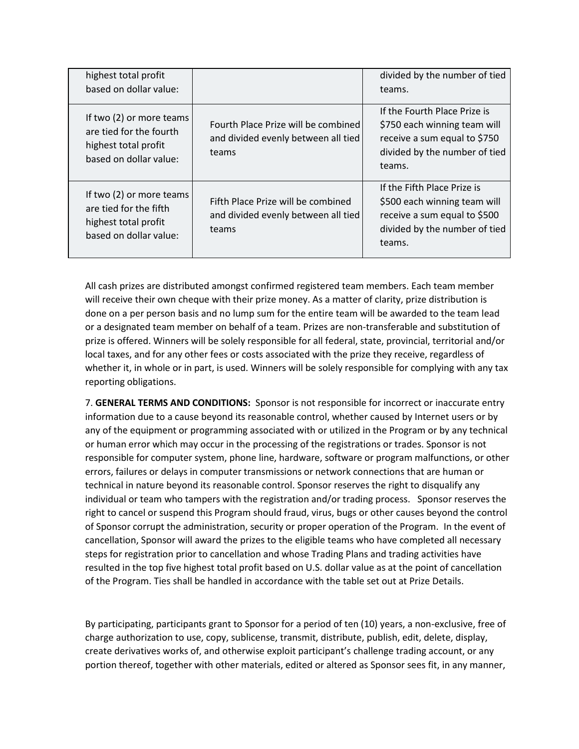| highest total profit<br>based on dollar value:                                                        |                                                                                     | divided by the number of tied<br>teams.                                                                                                 |
|-------------------------------------------------------------------------------------------------------|-------------------------------------------------------------------------------------|-----------------------------------------------------------------------------------------------------------------------------------------|
| If two (2) or more teams<br>are tied for the fourth<br>highest total profit<br>based on dollar value: | Fourth Place Prize will be combined<br>and divided evenly between all tied<br>teams | If the Fourth Place Prize is<br>\$750 each winning team will<br>receive a sum equal to \$750<br>divided by the number of tied<br>teams. |
| If two (2) or more teams<br>are tied for the fifth<br>highest total profit<br>based on dollar value:  | Fifth Place Prize will be combined<br>and divided evenly between all tied<br>teams  | If the Fifth Place Prize is<br>\$500 each winning team will<br>receive a sum equal to \$500<br>divided by the number of tied<br>teams.  |

All cash prizes are distributed amongst confirmed registered team members. Each team member will receive their own cheque with their prize money. As a matter of clarity, prize distribution is done on a per person basis and no lump sum for the entire team will be awarded to the team lead or a designated team member on behalf of a team. Prizes are non-transferable and substitution of prize is offered. Winners will be solely responsible for all federal, state, provincial, territorial and/or local taxes, and for any other fees or costs associated with the prize they receive, regardless of whether it, in whole or in part, is used. Winners will be solely responsible for complying with any tax reporting obligations.

7. **GENERAL TERMS AND CONDITIONS:** Sponsor is not responsible for incorrect or inaccurate entry information due to a cause beyond its reasonable control, whether caused by Internet users or by any of the equipment or programming associated with or utilized in the Program or by any technical or human error which may occur in the processing of the registrations or trades. Sponsor is not responsible for computer system, phone line, hardware, software or program malfunctions, or other errors, failures or delays in computer transmissions or network connections that are human or technical in nature beyond its reasonable control. Sponsor reserves the right to disqualify any individual or team who tampers with the registration and/or trading process. Sponsor reserves the right to cancel or suspend this Program should fraud, virus, bugs or other causes beyond the control of Sponsor corrupt the administration, security or proper operation of the Program. In the event of cancellation, Sponsor will award the prizes to the eligible teams who have completed all necessary steps for registration prior to cancellation and whose Trading Plans and trading activities have resulted in the top five highest total profit based on U.S. dollar value as at the point of cancellation of the Program. Ties shall be handled in accordance with the table set out at Prize Details.

By participating, participants grant to Sponsor for a period of ten (10) years, a non-exclusive, free of charge authorization to use, copy, sublicense, transmit, distribute, publish, edit, delete, display, create derivatives works of, and otherwise exploit participant's challenge trading account, or any portion thereof, together with other materials, edited or altered as Sponsor sees fit, in any manner,